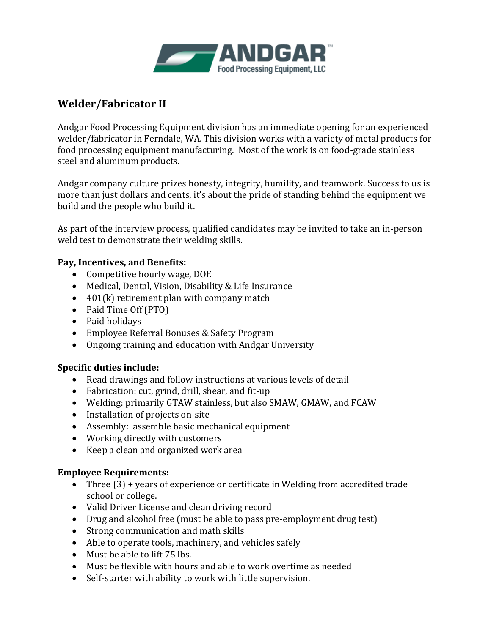

## **Welder/Fabricator II**

Andgar Food Processing Equipment division has an immediate opening for an experienced welder/fabricator in Ferndale, WA. This division works with a variety of metal products for food processing equipment manufacturing. Most of the work is on food-grade stainless steel and aluminum products.

Andgar company culture prizes honesty, integrity, humility, and teamwork. Success to us is more than just dollars and cents, it's about the pride of standing behind the equipment we build and the people who build it.

As part of the interview process, qualified candidates may be invited to take an in-person weld test to demonstrate their welding skills.

## **Pay, Incentives, and Benefits:**

- Competitive hourly wage, DOE
- Medical, Dental, Vision, Disability & Life Insurance
- 401(k) retirement plan with company match
- Paid Time Off (PTO)
- Paid holidays
- Employee Referral Bonuses & Safety Program
- Ongoing training and education with Andgar University

## **Specific duties include:**

- Read drawings and follow instructions at various levels of detail
- Fabrication: cut, grind, drill, shear, and fit-up
- Welding: primarily GTAW stainless, but also SMAW, GMAW, and FCAW
- Installation of projects on-site
- Assembly: assemble basic mechanical equipment
- Working directly with customers
- Keep a clean and organized work area

## **Employee Requirements:**

- Three (3) + years of experience or certificate in Welding from accredited trade school or college.
- Valid Driver License and clean driving record
- Drug and alcohol free (must be able to pass pre-employment drug test)
- Strong communication and math skills
- Able to operate tools, machinery, and vehicles safely
- Must be able to lift 75 lbs.
- Must be flexible with hours and able to work overtime as needed
- Self-starter with ability to work with little supervision.